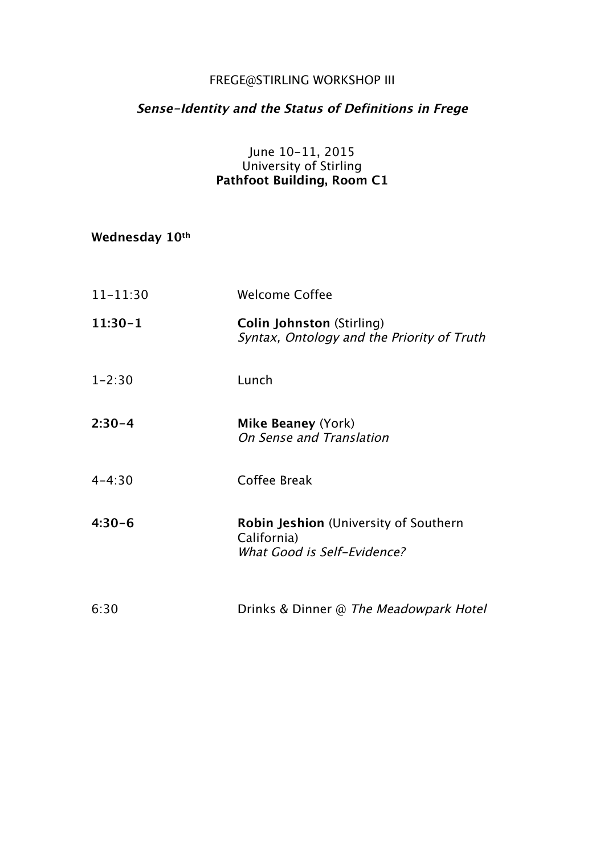## FREGE@STIRLING WORKSHOP III

# **Sense-Identity and the Status of Definitions in Frege**

### June 10-11, 2015 University of Stirling **Pathfoot Building, Room C1**

| Wednesday 10th |  |
|----------------|--|
|----------------|--|

| $11 - 11:30$ | <b>Welcome Coffee</b>                                                                      |
|--------------|--------------------------------------------------------------------------------------------|
| $11:30-1$    | <b>Colin Johnston (Stirling)</b><br>Syntax, Ontology and the Priority of Truth             |
| $1 - 2:30$   | Lunch                                                                                      |
| $2:30-4$     | Mike Beaney (York)<br>On Sense and Translation                                             |
| $4 - 4:30$   | Coffee Break                                                                               |
| $4:30-6$     | <b>Robin Jeshion</b> (University of Southern<br>California)<br>What Good is Self-Evidence? |
| 6:30         | Drinks & Dinner @ The Meadowpark Hotel                                                     |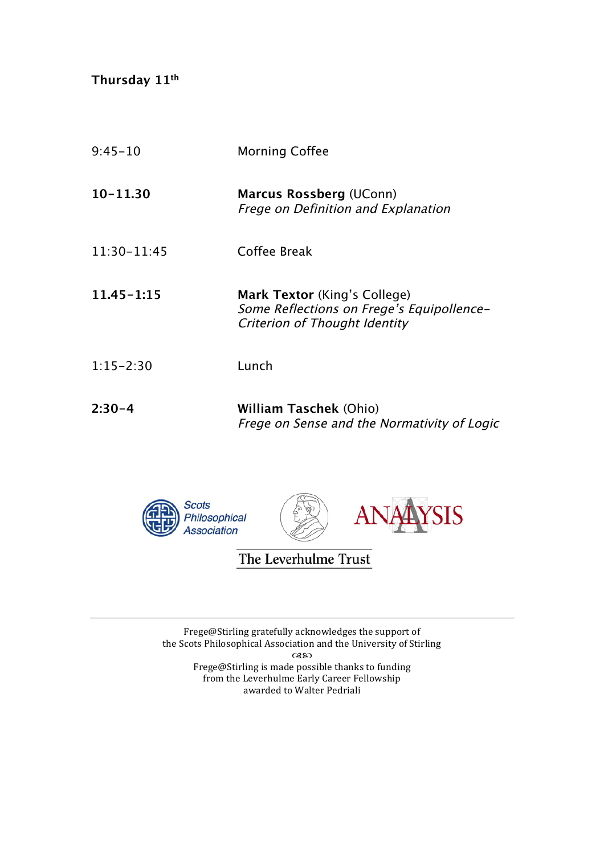**Thursday 11th**

| $9:45 - 10$     | <b>Morning Coffee</b>                                                                                      |
|-----------------|------------------------------------------------------------------------------------------------------------|
| $10 - 11.30$    | <b>Marcus Rossberg (UConn)</b><br><b>Frege on Definition and Explanation</b>                               |
| $11:30 - 11:45$ | Coffee Break                                                                                               |
| $11.45 - 1.15$  | Mark Textor (King's College)<br>Some Reflections on Frege's Equipollence-<br>Criterion of Thought Identity |
| $1:15 - 2:30$   | Lunch                                                                                                      |
| $2:30-4$        | <b>William Taschek (Ohio)</b><br>Frege on Sense and the Normativity of Logic                               |



The Leverhulme Trust

Frege@Stirling gratefully acknowledges the support of the Scots Philosophical Association and the University of Stirling  $\alpha$ Frege@Stirling is made possible thanks to funding from the Leverhulme Early Career Fellowship awarded to Walter Pedriali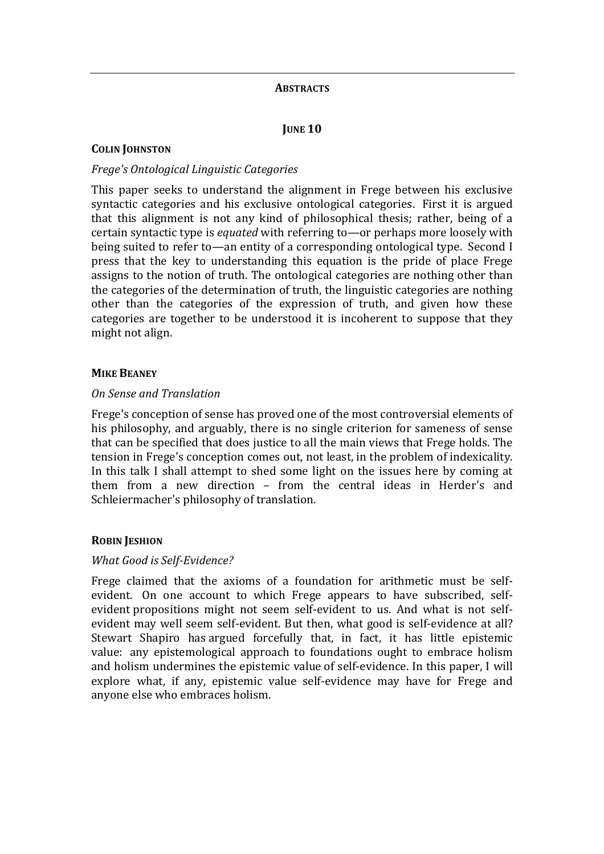#### **ABSTRACTS**

*<u>JUNE 10</u>* 

#### **COLIN JOHNSTON**

#### *Frege's Ontological Linguistic Categories*

This paper seeks to understand the alignment in Frege between his exclusive syntactic categories and his exclusive ontological categories. First it is argued that this alignment is not any kind of philosophical thesis; rather, being of a certain syntactic type is *equated* with referring to—or perhaps more loosely with being suited to refer to—an entity of a corresponding ontological type. Second I press that the key to understanding this equation is the pride of place Frege assigns to the notion of truth. The ontological categories are nothing other than the categories of the determination of truth, the linguistic categories are nothing other than the categories of the expression of truth, and given how these categories are together to be understood it is incoherent to suppose that they might not align.

#### **MIKE BEANEY**

#### *On Sense and Translation*

Frege's conception of sense has proved one of the most controversial elements of his philosophy, and arguably, there is no single criterion for sameness of sense that can be specified that does justice to all the main views that Frege holds. The tension in Frege's conception comes out, not least, in the problem of indexicality. In this talk I shall attempt to shed some light on the issues here by coming at them from a new direction  $-$  from the central ideas in Herder's and Schleiermacher's philosophy of translation.

#### **ROBIN JESHION**

#### *What Good is Self-Evidence?*

Frege claimed that the axioms of a foundation for arithmetic must be selfevident. On one account to which Frege appears to have subscribed, selfevident propositions might not seem self-evident to us. And what is not selfevident may well seem self-evident. But then, what good is self-evidence at all? Stewart Shapiro has argued forcefully that, in fact, it has little epistemic value: any epistemological approach to foundations ought to embrace holism and holism undermines the epistemic value of self-evidence. In this paper, I will explore what, if any, epistemic value self-evidence may have for Frege and anyone else who embraces holism.